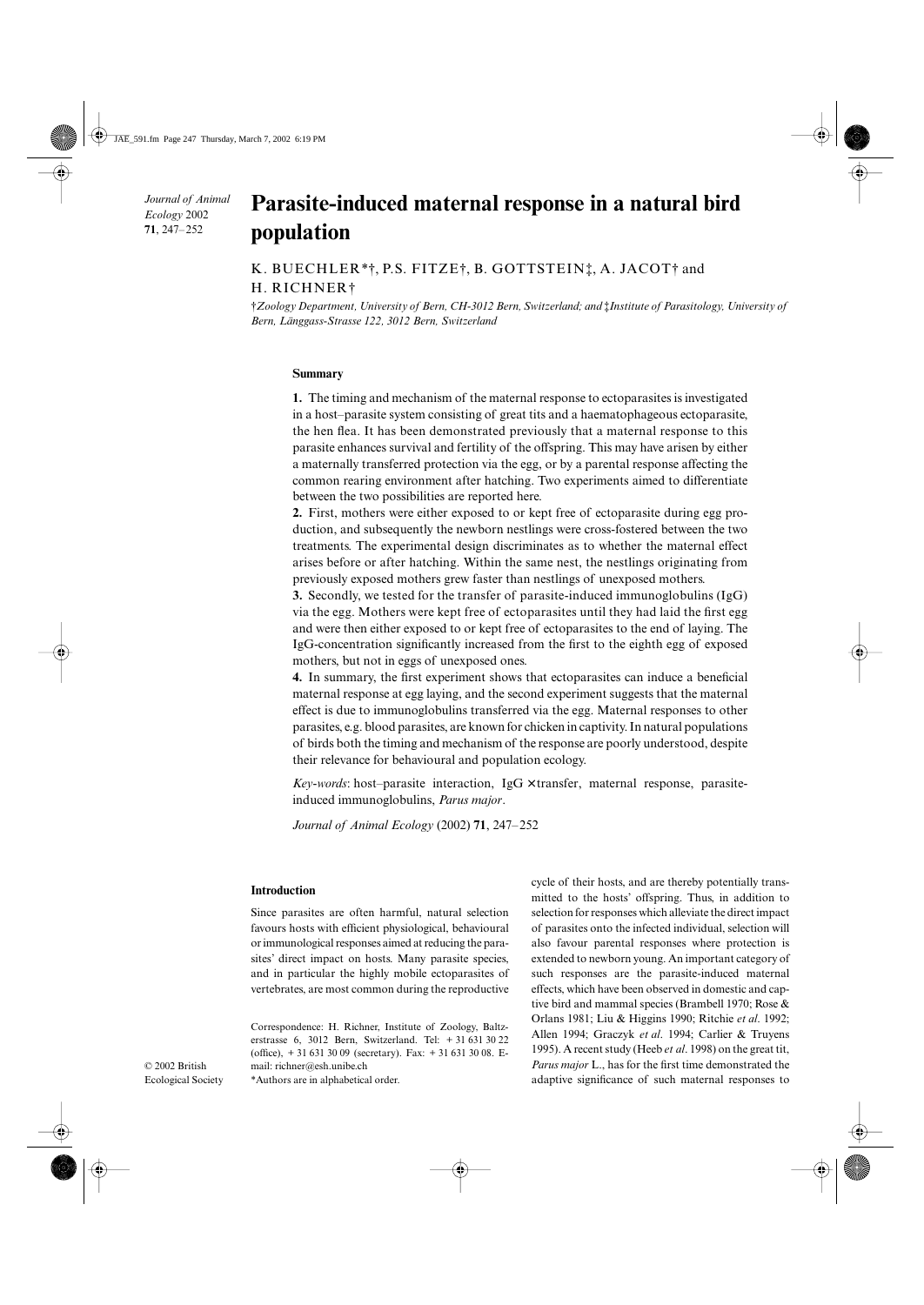*Journal of Animal Ecology* 2002 **71**, 247–252

# Parasite-induced maternal response in a natural bird **population**

## K. BUECHLER\*†, P.S. FITZE†, B. GOTTSTEIN‡, A. JACOT† and H. RICHNER†

†*Zoology Department, University of Bern, CH-3012 Bern, Switzerland; and* ‡*Institute of Parasitology, University of Bern, Länggass-Strasse 122, 3012 Bern, Switzerland*

## **Summary**

**1.** The timing and mechanism of the maternal response to ectoparasites is investigated in a host–parasite system consisting of great tits and a haematophageous ectoparasite, the hen flea. It has been demonstrated previously that a maternal response to this parasite enhances survival and fertility of the offspring. This may have arisen by either a maternally transferred protection via the egg, or by a parental response affecting the common rearing environment after hatching. Two experiments aimed to differentiate between the two possibilities are reported here.

**2.** First, mothers were either exposed to or kept free of ectoparasite during egg production, and subsequently the newborn nestlings were cross-fostered between the two treatments. The experimental design discriminates as to whether the maternal effect arises before or after hatching. Within the same nest, the nestlings originating from previously exposed mothers grew faster than nestlings of unexposed mothers.

**3.** Secondly, we tested for the transfer of parasite-induced immunoglobulins (IgG) via the egg. Mothers were kept free of ectoparasites until they had laid the first egg and were then either exposed to or kept free of ectoparasites to the end of laying. The IgG-concentration significantly increased from the first to the eighth egg of exposed mothers, but not in eggs of unexposed ones.

**4.** In summary, the first experiment shows that ectoparasites can induce a beneficial maternal response at egg laying, and the second experiment suggests that the maternal effect is due to immunoglobulins transferred via the egg. Maternal responses to other parasites, e.g. blood parasites, are known for chicken in captivity. In natural populations of birds both the timing and mechanism of the response are poorly understood, despite their relevance for behavioural and population ecology.

*Key-words*: host–parasite interaction, IgG × transfer, maternal response, parasiteinduced immunoglobulins, *Parus major*.

*Journal of Animal Ecology* (2002) **71**, 247–252

## **Introduction**

© 2002 British Ecological Society Since parasites are often harmful, natural selection favours hosts with efficient physiological, behavioural or immunological responses aimed at reducing the parasites' direct impact on hosts. Many parasite species, and in particular the highly mobile ectoparasites of vertebrates, are most common during the reproductive

Correspondence: H. Richner, Institute of Zoology, Baltzerstrasse 6, 3012 Bern, Switzerland. Tel: + 31 631 30 22 (office), + 31 631 30 09 (secretary). Fax: + 31 631 30 08. Email: richner@esh.unibe.ch

\*Authors are in alphabetical order.

cycle of their hosts, and are thereby potentially transmitted to the hosts' offspring. Thus, in addition to selection for responses which alleviate the direct impact of parasites onto the infected individual, selection will also favour parental responses where protection is extended to newborn young. An important category of such responses are the parasite-induced maternal effects, which have been observed in domestic and captive bird and mammal species (Brambell 1970; Rose & Orlans 1981; Liu & Higgins 1990; Ritchie *et al*. 1992; Allen 1994; Graczyk *et al*. 1994; Carlier & Truyens 1995). A recent study (Heeb *et al*. 1998) on the great tit, *Parus major* L., has for the first time demonstrated the adaptive significance of such maternal responses to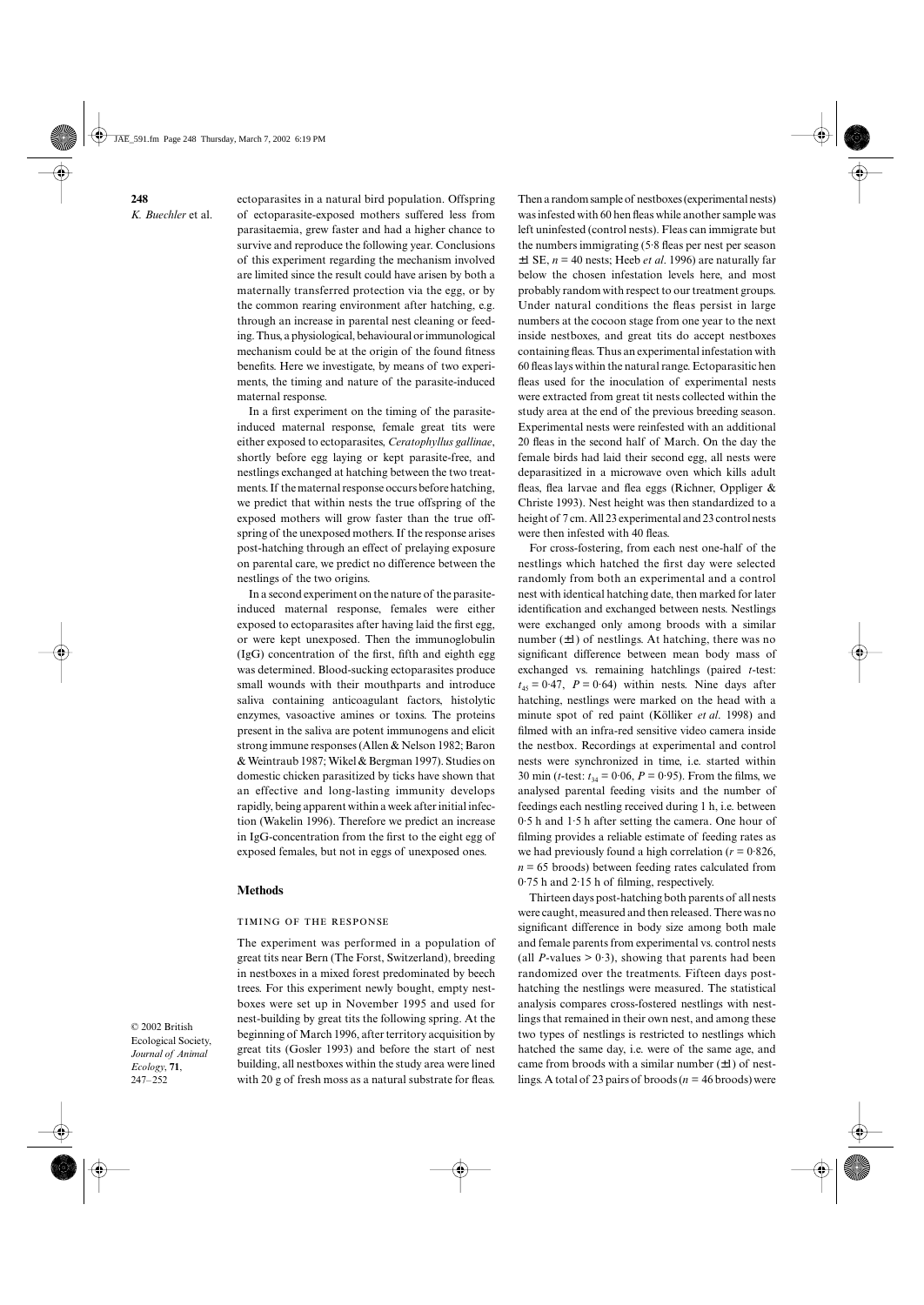ectoparasites in a natural bird population. Offspring of ectoparasite-exposed mothers suffered less from parasitaemia, grew faster and had a higher chance to survive and reproduce the following year. Conclusions of this experiment regarding the mechanism involved are limited since the result could have arisen by both a maternally transferred protection via the egg, or by the common rearing environment after hatching, e.g. through an increase in parental nest cleaning or feeding. Thus, a physiological, behavioural or immunological mechanism could be at the origin of the found fitness benefits. Here we investigate, by means of two experiments, the timing and nature of the parasite-induced maternal response.

In a first experiment on the timing of the parasiteinduced maternal response, female great tits were either exposed to ectoparasites, *Ceratophyllus gallinae*, shortly before egg laying or kept parasite-free, and nestlings exchanged at hatching between the two treatments. If the maternal response occurs before hatching, we predict that within nests the true offspring of the exposed mothers will grow faster than the true offspring of the unexposed mothers. If the response arises post-hatching through an effect of prelaying exposure on parental care, we predict no difference between the nestlings of the two origins.

In a second experiment on the nature of the parasiteinduced maternal response, females were either exposed to ectoparasites after having laid the first egg, or were kept unexposed. Then the immunoglobulin (IgG) concentration of the first, fifth and eighth egg was determined. Blood-sucking ectoparasites produce small wounds with their mouthparts and introduce saliva containing anticoagulant factors, histolytic enzymes, vasoactive amines or toxins. The proteins present in the saliva are potent immunogens and elicit strong immune responses (Allen & Nelson 1982; Baron & Weintraub 1987; Wikel & Bergman 1997). Studies on domestic chicken parasitized by ticks have shown that an effective and long-lasting immunity develops rapidly, being apparent within a week after initial infection (Wakelin 1996). Therefore we predict an increase in IgG-concentration from the first to the eight egg of exposed females, but not in eggs of unexposed ones.

## **Methods**

## TIMING OF THE RESPONSE

The experiment was performed in a population of great tits near Bern (The Forst, Switzerland), breeding in nestboxes in a mixed forest predominated by beech trees. For this experiment newly bought, empty nestboxes were set up in November 1995 and used for nest-building by great tits the following spring. At the beginning of March 1996, after territory acquisition by great tits (Gosler 1993) and before the start of nest building, all nestboxes within the study area were lined with 20 g of fresh moss as a natural substrate for fleas.

Then a random sample of nestboxes (experimental nests) was infested with 60 hen fleas while another sample was left uninfested (control nests). Fleas can immigrate but the numbers immigrating (5·8 fleas per nest per season  $\pm 1$  SE,  $n = 40$  nests; Heeb *et al.* 1996) are naturally far below the chosen infestation levels here, and most probably random with respect to our treatment groups. Under natural conditions the fleas persist in large numbers at the cocoon stage from one year to the next inside nestboxes, and great tits do accept nestboxes containing fleas. Thus an experimental infestation with 60 fleas lays within the natural range. Ectoparasitic hen fleas used for the inoculation of experimental nests were extracted from great tit nests collected within the study area at the end of the previous breeding season. Experimental nests were reinfested with an additional 20 fleas in the second half of March. On the day the female birds had laid their second egg, all nests were deparasitized in a microwave oven which kills adult fleas, flea larvae and flea eggs (Richner, Oppliger & Christe 1993). Nest height was then standardized to a height of 7 cm. All 23 experimental and 23 control nests were then infested with 40 fleas.

For cross-fostering, from each nest one-half of the nestlings which hatched the first day were selected randomly from both an experimental and a control nest with identical hatching date, then marked for later identification and exchanged between nests. Nestlings were exchanged only among broods with a similar number  $(\pm 1)$  of nestlings. At hatching, there was no significant difference between mean body mass of exchanged vs. remaining hatchlings (paired *t*-test:  $t_{45} = 0.47$ ,  $P = 0.64$ ) within nests. Nine days after hatching, nestlings were marked on the head with a minute spot of red paint (Kölliker *et al*. 1998) and filmed with an infra-red sensitive video camera inside the nestbox. Recordings at experimental and control nests were synchronized in time, i.e. started within 30 min (*t*-test:  $t_{34} = 0.06$ ,  $P = 0.95$ ). From the films, we analysed parental feeding visits and the number of feedings each nestling received during 1 h, i.e. between 0·5 h and 1·5 h after setting the camera. One hour of filming provides a reliable estimate of feeding rates as we had previously found a high correlation ( $r = 0.826$ ,  $n = 65$  broods) between feeding rates calculated from 0·75 h and 2·15 h of filming, respectively.

Thirteen days post-hatching both parents of all nests were caught, measured and then released. There was no significant difference in body size among both male and female parents from experimental vs. control nests (all *P*-values  $> 0.3$ ), showing that parents had been randomized over the treatments. Fifteen days posthatching the nestlings were measured. The statistical analysis compares cross-fostered nestlings with nestlings that remained in their own nest, and among these two types of nestlings is restricted to nestlings which hatched the same day, i.e. were of the same age, and came from broods with a similar number  $(\pm 1)$  of nestlings. A total of 23 pairs of broods (*n* = 46 broods) were

© 2002 British Ecological Society, *Journal of Animal Ecology*, **71**, 247–252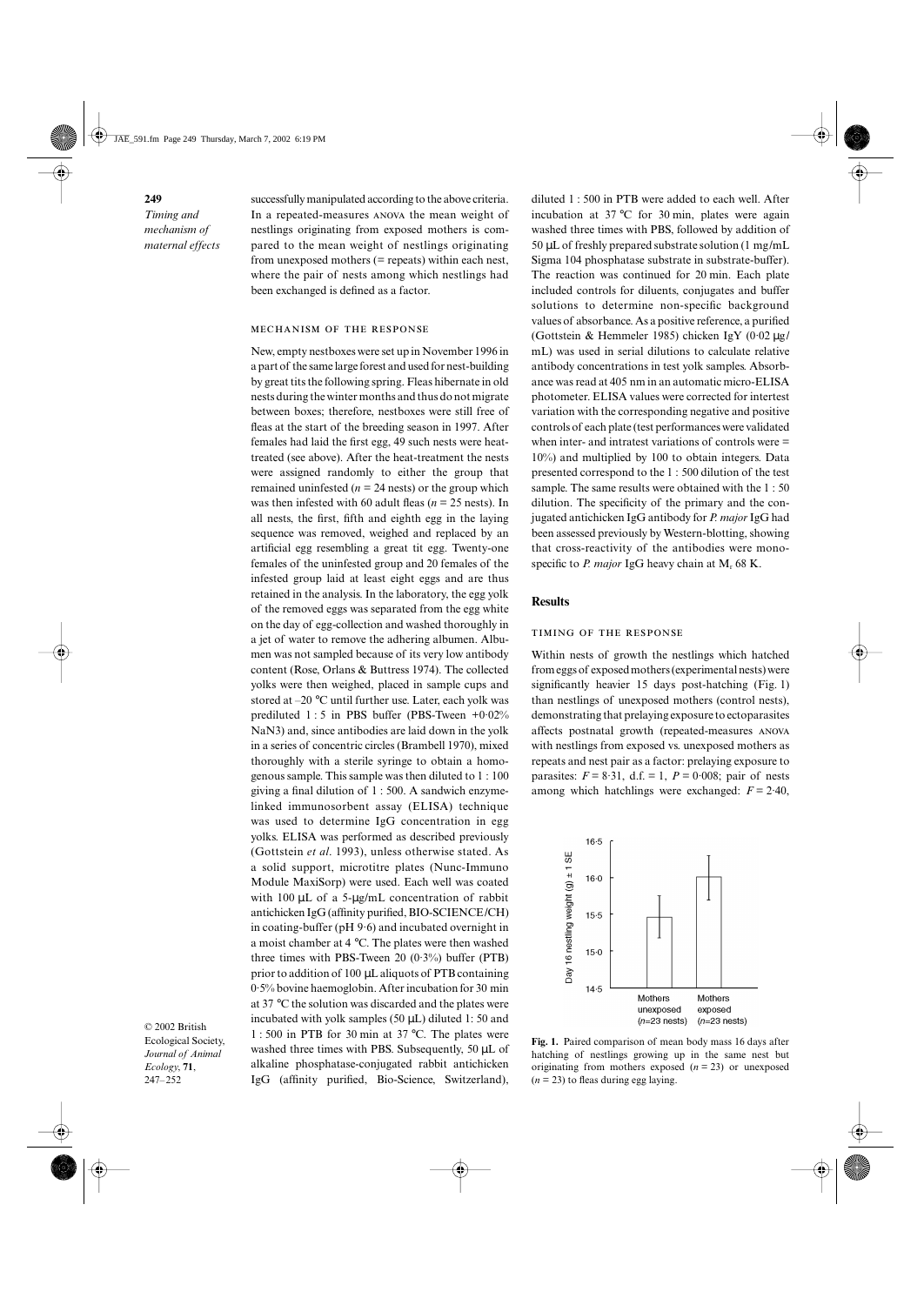**249** *Timing and mechanism of maternal effects* successfully manipulated according to the above criteria. In a repeated-measures ANOVA the mean weight of nestlings originating from exposed mothers is compared to the mean weight of nestlings originating from unexposed mothers (= repeats) within each nest, where the pair of nests among which nestlings had been exchanged is defined as a factor.

## MECHANISM OF THE RESPONSE

New, empty nestboxes were set up in November 1996 in a part of the same large forest and used for nest-building by great tits the following spring. Fleas hibernate in old nests during the winter months and thus do not migrate between boxes; therefore, nestboxes were still free of fleas at the start of the breeding season in 1997. After females had laid the first egg, 49 such nests were heattreated (see above). After the heat-treatment the nests were assigned randomly to either the group that remained uninfested ( $n = 24$  nests) or the group which was then infested with 60 adult fleas (*n* = 25 nests). In all nests, the first, fifth and eighth egg in the laying sequence was removed, weighed and replaced by an artificial egg resembling a great tit egg. Twenty-one females of the uninfested group and 20 females of the infested group laid at least eight eggs and are thus retained in the analysis. In the laboratory, the egg yolk of the removed eggs was separated from the egg white on the day of egg-collection and washed thoroughly in a jet of water to remove the adhering albumen. Albumen was not sampled because of its very low antibody content (Rose, Orlans & Buttress 1974). The collected yolks were then weighed, placed in sample cups and stored at –20 °C until further use. Later, each yolk was prediluted  $1:5$  in PBS buffer (PBS-Tween  $+0.02\%$ ) NaN3) and, since antibodies are laid down in the yolk in a series of concentric circles (Brambell 1970), mixed thoroughly with a sterile syringe to obtain a homogenous sample. This sample was then diluted to 1 : 100 giving a final dilution of 1 : 500. A sandwich enzymelinked immunosorbent assay (ELISA) technique was used to determine IgG concentration in egg yolks. ELISA was performed as described previously (Gottstein *et al*. 1993), unless otherwise stated. As a solid support, microtitre plates (Nunc-Immuno Module MaxiSorp) were used. Each well was coated with 100 µL of a 5-µg/mL concentration of rabbit antichicken IgG (affinity purified, BIO-SCIENCE/CH) in coating-buffer (pH 9·6) and incubated overnight in a moist chamber at 4 °C. The plates were then washed three times with PBS-Tween 20  $(0.3\%)$  buffer (PTB) prior to addition of 100 µL aliquots of PTB containing 0·5% bovine haemoglobin. After incubation for 30 min at 37 °C the solution was discarded and the plates were incubated with yolk samples (50  $\mu$ L) diluted 1:50 and 1 : 500 in PTB for 30 min at 37 °C. The plates were washed three times with PBS. Subsequently, 50 µL of alkaline phosphatase-conjugated rabbit antichicken IgG (affinity purified, Bio-Science, Switzerland),

© 2002 British Ecological Society, *Journal of Animal Ecology*, **71**, 247–252

diluted 1 : 500 in PTB were added to each well. After incubation at 37 °C for 30 min, plates were again washed three times with PBS, followed by addition of 50 µL of freshly prepared substrate solution (1 mg/mL Sigma 104 phosphatase substrate in substrate-buffer). The reaction was continued for 20 min. Each plate included controls for diluents, conjugates and buffer solutions to determine non-specific background values of absorbance. As a positive reference, a purified (Gottstein & Hemmeler 1985) chicken IgY  $(0.02 \mu g)$ mL) was used in serial dilutions to calculate relative antibody concentrations in test yolk samples. Absorbance was read at 405 nm in an automatic micro-ELISA photometer. ELISA values were corrected for intertest variation with the corresponding negative and positive controls of each plate (test performances were validated when inter- and intratest variations of controls were = 10%) and multiplied by 100 to obtain integers. Data presented correspond to the 1 : 500 dilution of the test sample. The same results were obtained with the 1 : 50 dilution. The specificity of the primary and the conjugated antichicken IgG antibody for *P. major* IgG had been assessed previously by Western-blotting, showing that cross-reactivity of the antibodies were monospecific to *P. major* IgG heavy chain at M<sub>r</sub> 68 K.

## **Results**

#### TIMING OF THE RESPONSE

Within nests of growth the nestlings which hatched from eggs of exposed mothers (experimental nests) were significantly heavier 15 days post-hatching (Fig. 1) than nestlings of unexposed mothers (control nests), demonstrating that prelaying exposure to ectoparasites affects postnatal growth (repeated-measures with nestlings from exposed vs. unexposed mothers as repeats and nest pair as a factor: prelaying exposure to parasites:  $F = 8.31$ , d.f.  $= 1$ ,  $P = 0.008$ ; pair of nests among which hatchlings were exchanged:  $F = 2.40$ ,



**Fig. 1.** Paired comparison of mean body mass 16 days after hatching of nestlings growing up in the same nest but originating from mothers exposed  $(n = 23)$  or unexposed  $(n = 23)$  to fleas during egg laying.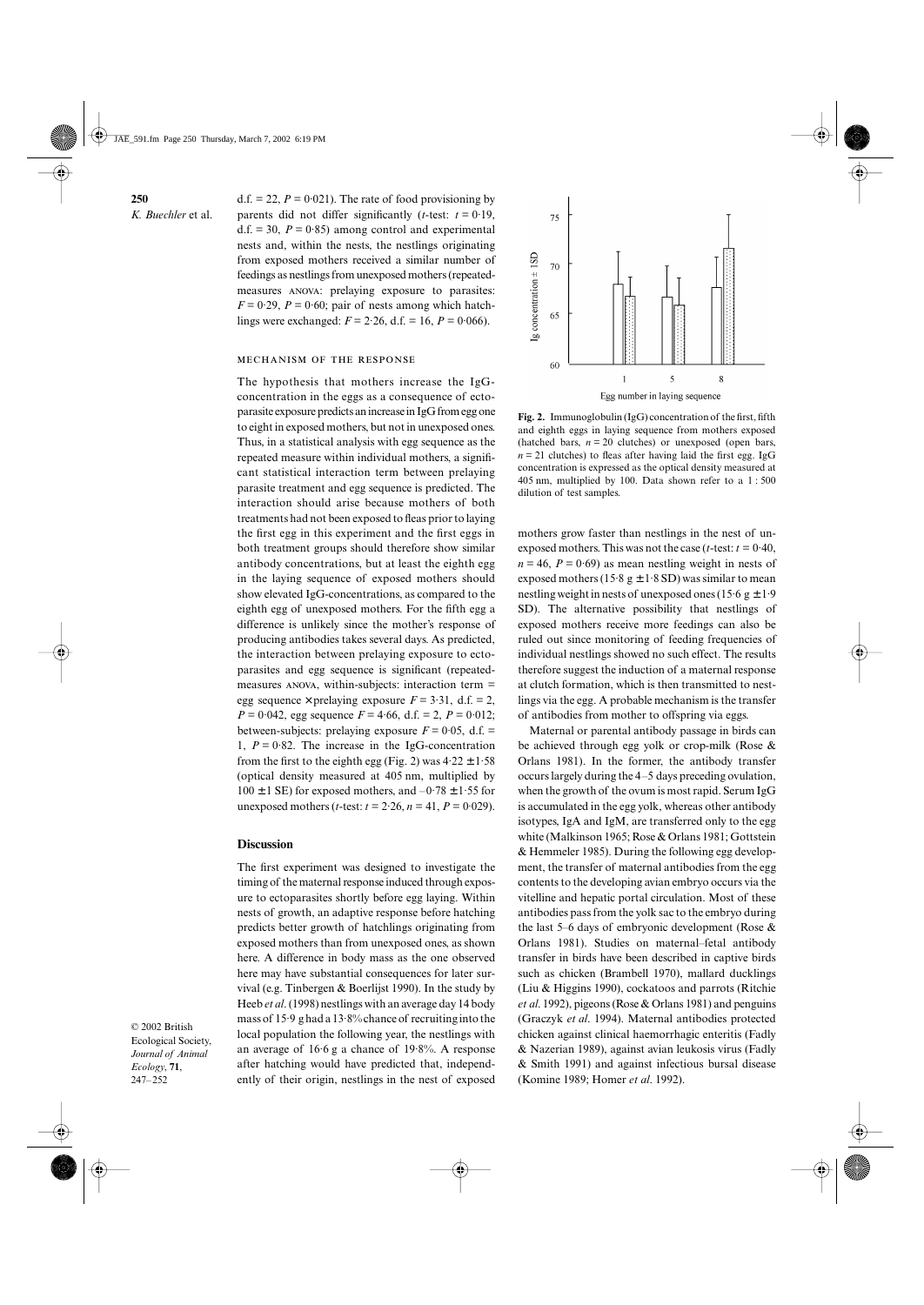d.f.  $= 22$ ,  $P = 0.021$ ). The rate of food provisioning by parents did not differ significantly ( $t$ -test:  $t = 0.19$ , d.f.  $= 30$ ,  $P = 0.85$ ) among control and experimental nests and, within the nests, the nestlings originating from exposed mothers received a similar number of feedings as nestlings from unexposed mothers (repeatedmeasures ANOVA: prelaying exposure to parasites:  $F = 0.29$ ,  $P = 0.60$ ; pair of nests among which hatchlings were exchanged:  $F = 2.26$ , d.f. = 16,  $P = 0.066$ ).

## MECHANISM OF THE RESPONSE

The hypothesis that mothers increase the IgGconcentration in the eggs as a consequence of ectoparasite exposure predicts an increase in IgG from egg one to eight in exposed mothers, but not in unexposed ones. Thus, in a statistical analysis with egg sequence as the repeated measure within individual mothers, a significant statistical interaction term between prelaying parasite treatment and egg sequence is predicted. The interaction should arise because mothers of both treatments had not been exposed to fleas prior to laying the first egg in this experiment and the first eggs in both treatment groups should therefore show similar antibody concentrations, but at least the eighth egg in the laying sequence of exposed mothers should show elevated IgG-concentrations, as compared to the eighth egg of unexposed mothers. For the fifth egg a difference is unlikely since the mother's response of producing antibodies takes several days. As predicted, the interaction between prelaying exposure to ectoparasites and egg sequence is significant (repeatedmeasures  $ANOVA$ , within-subjects: interaction term = egg sequence  $\times$  prelaying exposure  $F = 3.31$ , d.f. = 2,  $P = 0.042$ , egg sequence  $F = 4.66$ , d.f. = 2,  $P = 0.012$ ; between-subjects: prelaying exposure  $F = 0.05$ , d.f. = 1,  $P = 0.82$ . The increase in the IgG-concentration from the first to the eighth egg (Fig. 2) was  $4.22 \pm 1.58$ (optical density measured at 405 nm, multiplied by  $100 \pm 1$  SE) for exposed mothers, and  $-0.78 \pm 1.55$  for unexposed mothers (*t*-test:  $t = 2.26$ ,  $n = 41$ ,  $P = 0.029$ ).

## **Discussion**

The first experiment was designed to investigate the timing of the maternal response induced through exposure to ectoparasites shortly before egg laying. Within nests of growth, an adaptive response before hatching predicts better growth of hatchlings originating from exposed mothers than from unexposed ones, as shown here. A difference in body mass as the one observed here may have substantial consequences for later survival (e.g. Tinbergen & Boerlijst 1990). In the study by Heeb *et al*. (1998) nestlings with an average day 14 body mass of 15·9 g had a 13·8% chance of recruiting into the local population the following year, the nestlings with an average of 16·6 g a chance of 19·8%. A response after hatching would have predicted that, independently of their origin, nestlings in the nest of exposed

© 2002 British Ecological Society, *Journal of Animal Ecology*, **71**, 247–252



**Fig. 2.** Immunoglobulin (IgG) concentration of the first, fifth and eighth eggs in laying sequence from mothers exposed (hatched bars,  $n = 20$  clutches) or unexposed (open bars,  $n = 21$  clutches) to fleas after having laid the first egg. IgG concentration is expressed as the optical density measured at 405 nm, multiplied by 100. Data shown refer to a 1 : 500 dilution of test samples.

mothers grow faster than nestlings in the nest of unexposed mothers. This was not the case ( $t$ -test:  $t = 0.40$ ,  $n = 46$ ,  $P = 0.69$ ) as mean nestling weight in nests of exposed mothers (15.8 g  $\pm$  1.8 SD) was similar to mean nestling weight in nests of unexposed ones (15.6  $g \pm 1.9$ ) SD). The alternative possibility that nestlings of exposed mothers receive more feedings can also be ruled out since monitoring of feeding frequencies of individual nestlings showed no such effect. The results therefore suggest the induction of a maternal response at clutch formation, which is then transmitted to nestlings via the egg. A probable mechanism is the transfer of antibodies from mother to offspring via eggs.

Maternal or parental antibody passage in birds can be achieved through egg yolk or crop-milk (Rose & Orlans 1981). In the former, the antibody transfer occurs largely during the 4–5 days preceding ovulation, when the growth of the ovum is most rapid. Serum IgG is accumulated in the egg yolk, whereas other antibody isotypes, IgA and IgM, are transferred only to the egg white (Malkinson 1965; Rose & Orlans 1981; Gottstein & Hemmeler 1985). During the following egg development, the transfer of maternal antibodies from the egg contents to the developing avian embryo occurs via the vitelline and hepatic portal circulation. Most of these antibodies pass from the yolk sac to the embryo during the last 5–6 days of embryonic development (Rose & Orlans 1981). Studies on maternal–fetal antibody transfer in birds have been described in captive birds such as chicken (Brambell 1970), mallard ducklings (Liu & Higgins 1990), cockatoos and parrots (Ritchie *et al*. 1992), pigeons (Rose & Orlans 1981) and penguins (Graczyk *et al*. 1994). Maternal antibodies protected chicken against clinical haemorrhagic enteritis (Fadly & Nazerian 1989), against avian leukosis virus (Fadly & Smith 1991) and against infectious bursal disease (Komine 1989; Homer *et al*. 1992).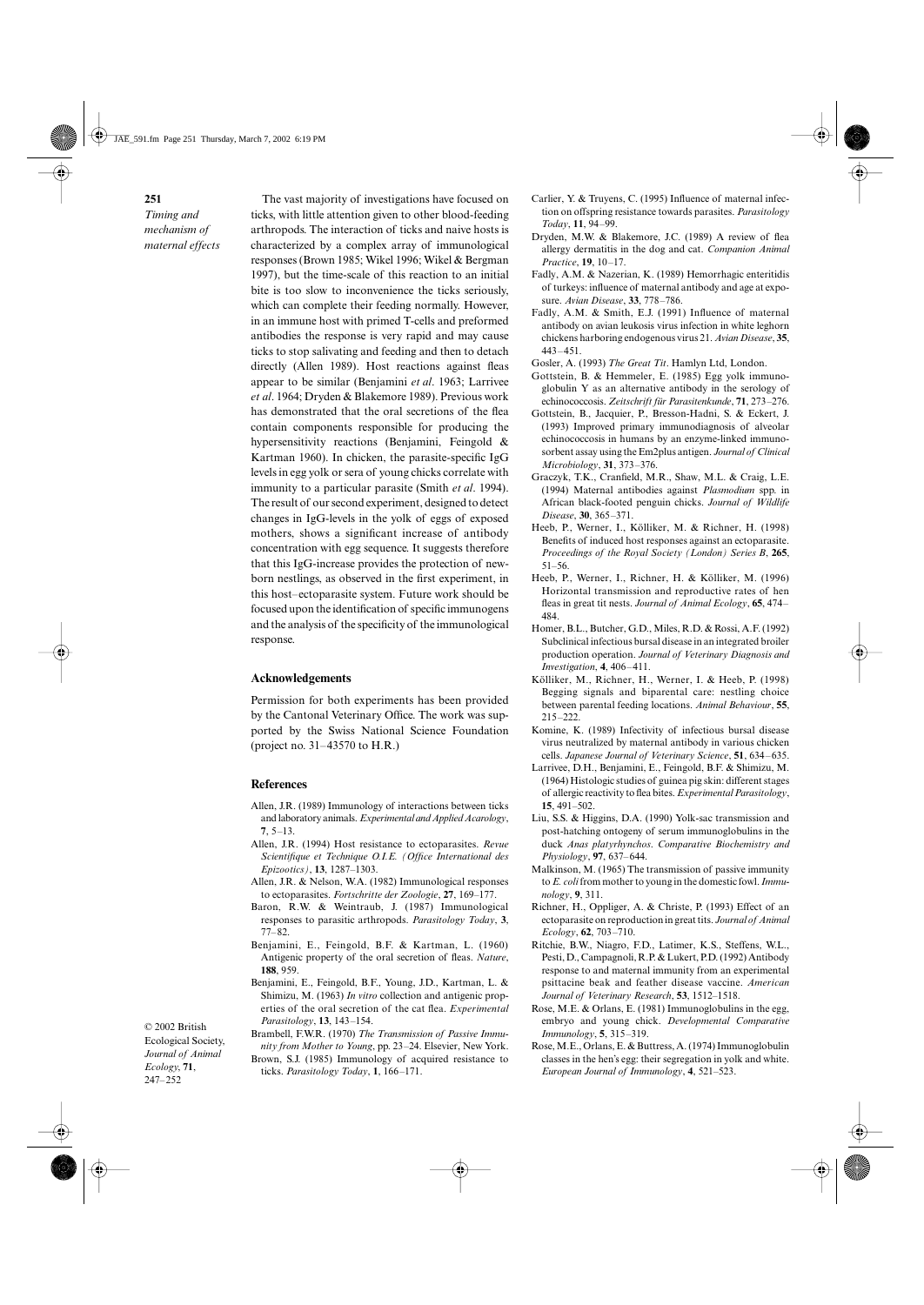*Timing and mechanism of maternal effects*

The vast majority of investigations have focused on ticks, with little attention given to other blood-feeding arthropods. The interaction of ticks and naive hosts is characterized by a complex array of immunological responses (Brown 1985; Wikel 1996; Wikel & Bergman 1997), but the time-scale of this reaction to an initial bite is too slow to inconvenience the ticks seriously, which can complete their feeding normally. However, in an immune host with primed T-cells and preformed antibodies the response is very rapid and may cause ticks to stop salivating and feeding and then to detach directly (Allen 1989). Host reactions against fleas appear to be similar (Benjamini *et al*. 1963; Larrivee *et al*. 1964; Dryden & Blakemore 1989). Previous work has demonstrated that the oral secretions of the flea contain components responsible for producing the hypersensitivity reactions (Benjamini, Feingold & Kartman 1960). In chicken, the parasite-specific IgG levels in egg yolk or sera of young chicks correlate with immunity to a particular parasite (Smith *et al*. 1994). The result of our second experiment, designed to detect changes in IgG-levels in the yolk of eggs of exposed mothers, shows a significant increase of antibody concentration with egg sequence. It suggests therefore that this IgG-increase provides the protection of newborn nestlings, as observed in the first experiment, in this host–ectoparasite system. Future work should be focused upon the identification of specific immunogens and the analysis of the specificity of the immunological response.

#### **Acknowledgements**

Permission for both experiments has been provided by the Cantonal Veterinary Office. The work was supported by the Swiss National Science Foundation (project no. 31–43570 to H.R.)

### **References**

- Allen, J.R. (1989) Immunology of interactions between ticks and laboratory animals. *Experimental and Applied Acarology*, **7**, 5–13.
- Allen, J.R. (1994) Host resistance to ectoparasites. *Revue Scientifique et Technique O.I.E. (Office International des Epizootics)*, **13**, 1287–1303.
- Allen, J.R. & Nelson, W.A. (1982) Immunological responses to ectoparasites. *Fortschritte der Zoologie*, **27**, 169–177.
- Baron, R.W. & Weintraub, J. (1987) Immunological responses to parasitic arthropods. *Parasitology Today*, **3**, 77–82.
- Benjamini, E., Feingold, B.F. & Kartman, L. (1960) Antigenic property of the oral secretion of fleas. *Nature*, **188**, 959.
- Benjamini, E., Feingold, B.F., Young, J.D., Kartman, L. & Shimizu, M. (1963) *In vitro* collection and antigenic properties of the oral secretion of the cat flea. *Experimental Parasitology*, **13**, 143–154.

© 2002 British Ecological Society, *Journal of Animal Ecology*, **71**, 247–252

Brambell, F.W.R. (1970) *The Transmission of Passive Immunity from Mother to Young*, pp. 23–24. Elsevier, New York. Brown, S.J. (1985) Immunology of acquired resistance to ticks. *Parasitology Today*, **1**, 166–171.

- Carlier, Y. & Truyens, C. (1995) Influence of maternal infection on offspring resistance towards parasites. *Parasitology Today*, **11**, 94–99.
- Dryden, M.W. & Blakemore, J.C. (1989) A review of flea allergy dermatitis in the dog and cat. *Companion Animal Practice*, **19**, 10–17.
- Fadly, A.M. & Nazerian, K. (1989) Hemorrhagic enteritidis of turkeys: influence of maternal antibody and age at exposure. *Avian Disease*, **33**, 778–786.
- Fadly, A.M. & Smith, E.J. (1991) Influence of maternal antibody on avian leukosis virus infection in white leghorn chickens harboring endogenous virus 21. *Avian Disease*, **35**, 443–451.
- Gosler, A. (1993) *The Great Tit*. Hamlyn Ltd, London.
- Gottstein, B. & Hemmeler, E. (1985) Egg yolk immunoglobulin Y as an alternative antibody in the serology of echinococcosis. *Zeitschrift für Parasitenkunde*, **71**, 273–276.
- Gottstein, B., Jacquier, P., Bresson-Hadni, S. & Eckert, J. (1993) Improved primary immunodiagnosis of alveolar echinococcosis in humans by an enzyme-linked immunosorbent assay using the Em2plus antigen. *Journal of Clinical Microbiology*, **31**, 373–376.
- Graczyk, T.K., Cranfield, M.R., Shaw, M.L. & Craig, L.E. (1994) Maternal antibodies against *Plasmodium* spp. in African black-footed penguin chicks. *Journal of Wildlife Disease*, **30**, 365–371.
- Heeb, P., Werner, I., Kölliker, M. & Richner, H. (1998) Benefits of induced host responses against an ectoparasite. *Proceedings of the Royal Society (London) Series B*, **265**, 51–56.
- Heeb, P., Werner, I., Richner, H. & Kölliker, M. (1996) Horizontal transmission and reproductive rates of hen fleas in great tit nests. *Journal of Animal Ecology*, **65**, 474– 484.
- Homer, B.L., Butcher, G.D., Miles, R.D. & Rossi, A.F. (1992) Subclinical infectious bursal disease in an integrated broiler production operation. *Journal of Veterinary Diagnosis and Investigation*, **4**, 406–411.
- Kölliker, M., Richner, H., Werner, I. & Heeb, P. (1998) Begging signals and biparental care: nestling choice between parental feeding locations. *Animal Behaviour*, **55**, 215–222.
- Komine, K. (1989) Infectivity of infectious bursal disease virus neutralized by maternal antibody in various chicken cells. *Japanese Journal of Veterinary Science*, **51**, 634–635.
- Larrivee, D.H., Benjamini, E., Feingold, B.F. & Shimizu, M. (1964) Histologic studies of guinea pig skin: different stages of allergic reactivity to flea bites. *Experimental Parasitology*, **15**, 491–502.
- Liu, S.S. & Higgins, D.A. (1990) Yolk-sac transmission and post-hatching ontogeny of serum immunoglobulins in the duck *Anas platyrhynchos*. *Comparative Biochemistry and Physiology*, **97**, 637–644.
- Malkinson, M. (1965) The transmission of passive immunity to *E. coli* from mother to young in the domestic fowl. *Immunology*, **9**, 311.
- Richner, H., Oppliger, A. & Christe, P. (1993) Effect of an ectoparasite on reproduction in great tits. *Journal of Animal Ecology*, **62**, 703–710.
- Ritchie, B.W., Niagro, F.D., Latimer, K.S., Steffens, W.L., Pesti, D., Campagnoli, R.P. & Lukert, P.D. (1992) Antibody response to and maternal immunity from an experimental psittacine beak and feather disease vaccine. *American Journal of Veterinary Research*, **53**, 1512–1518.
- Rose, M.E. & Orlans, E. (1981) Immunoglobulins in the egg, embryo and young chick. *Developmental Comparative Immunology*, **5**, 315–319.
- Rose, M.E., Orlans, E. & Buttress, A. (1974) Immunoglobulin classes in the hen's egg: their segregation in yolk and white. *European Journal of Immunology*, **4**, 521–523.

## **251**